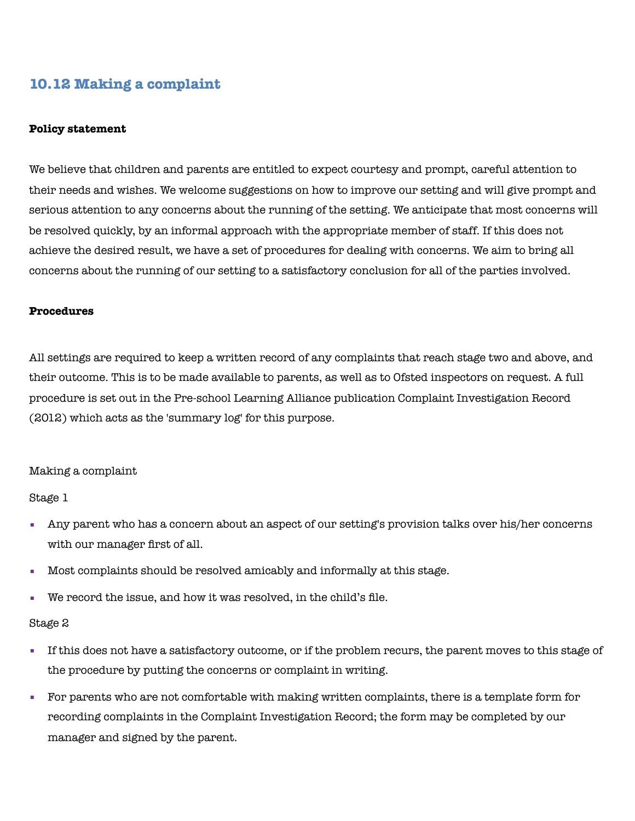# **10.12 Making a complaint**

#### **Policy statement**

We believe that children and parents are entitled to expect courtesy and prompt, careful attention to their needs and wishes. We welcome suggestions on how to improve our setting and will give prompt and serious attention to any concerns about the running of the setting. We anticipate that most concerns will be resolved quickly, by an informal approach with the appropriate member of staff. If this does not achieve the desired result, we have a set of procedures for dealing with concerns. We aim to bring all concerns about the running of our setting to a satisfactory conclusion for all of the parties involved.

#### **Procedures**

All settings are required to keep a written record of any complaints that reach stage two and above, and their outcome. This is to be made available to parents, as well as to Ofsted inspectors on request. A full procedure is set out in the Pre-school Learning Alliance publication Complaint Investigation Record (2012) which acts as the 'summary log' for this purpose.

#### Making a complaint

Stage 1

- Any parent who has a concern about an aspect of our setting's provision talks over his/her concerns with our manager first of all.
- Most complaints should be resolved amicably and informally at this stage.
- We record the issue, and how it was resolved, in the child's file.

#### Stage 2

- If this does not have a satisfactory outcome, or if the problem recurs, the parent moves to this stage of the procedure by putting the concerns or complaint in writing.
- For parents who are not comfortable with making written complaints, there is a template form for recording complaints in the Complaint Investigation Record; the form may be completed by our manager and signed by the parent.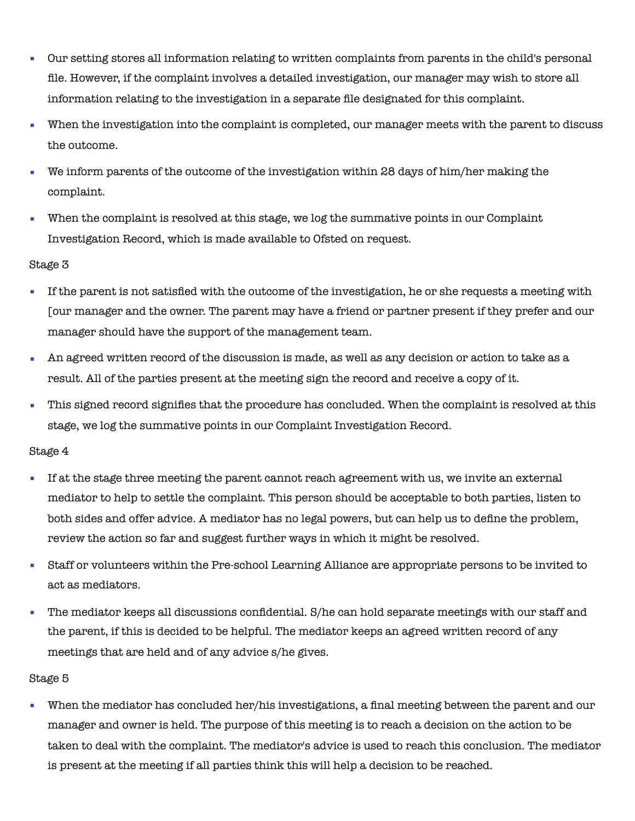- Our setting stores all information relating to written complaints from parents in the child's personal file. However, if the complaint involves a detailed investigation, our manager may wish to store all information relating to the investigation in a separate file designated for this complaint.
- When the investigation into the complaint is completed, our manager meets with the parent to discuss the outcome.
- We inform parents of the outcome of the investigation within 28 days of him/her making the complaint.
- When the complaint is resolved at this stage, we log the summative points in our Complaint Investigation Record, which is made available to Ofsted on request.

## Stage 3

- If the parent is not satisfied with the outcome of the investigation, he or she requests a meeting with [our manager and the owner. The parent may have a friend or partner present if they prefer and our manager should have the support of the management team.
- An agreed written record of the discussion is made, as well as any decision or action to take as a result. All of the parties present at the meeting sign the record and receive a copy of it.
- This signed record signifies that the procedure has concluded. When the complaint is resolved at this stage, we log the summative points in our Complaint Investigation Record.

### Stage 4

- If at the stage three meeting the parent cannot reach agreement with us, we invite an external mediator to help to settle the complaint. This person should be acceptable to both parties, listen to both sides and offer advice. A mediator has no legal powers, but can help us to define the problem, review the action so far and suggest further ways in which it might be resolved.
- Staff or volunteers within the Pre-school Learning Alliance are appropriate persons to be invited to act as mediators.
- The mediator keeps all discussions confidential. S/he can hold separate meetings with our staff and the parent, if this is decided to be helpful. The mediator keeps an agreed written record of any meetings that are held and of any advice s/he gives.

## Stage 5

▪ When the mediator has concluded her/his investigations, a final meeting between the parent and our manager and owner is held. The purpose of this meeting is to reach a decision on the action to be taken to deal with the complaint. The mediator's advice is used to reach this conclusion. The mediator is present at the meeting if all parties think this will help a decision to be reached.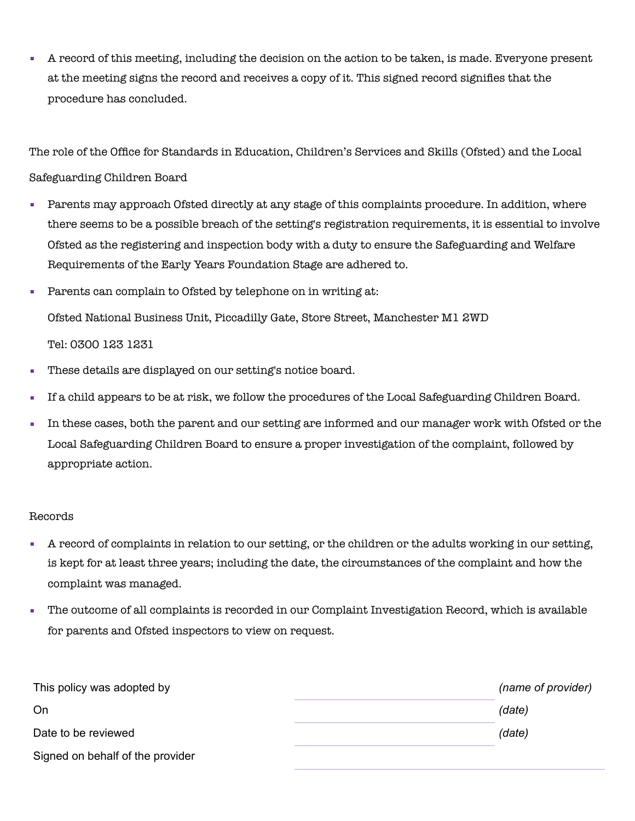▪ A record of this meeting, including the decision on the action to be taken, is made. Everyone present at the meeting signs the record and receives a copy of it. This signed record signifies that the procedure has concluded.

The role of the Office for Standards in Education, Children's Services and Skills (Ofsted) and the Local Safeguarding Children Board

- Parents may approach Ofsted directly at any stage of this complaints procedure. In addition, where there seems to be a possible breach of the setting's registration requirements, it is essential to involve Ofsted as the registering and inspection body with a duty to ensure the Safeguarding and Welfare Requirements of the Early Years Foundation Stage are adhered to.
- Parents can complain to Ofsted by telephone on in writing at: Ofsted National Business Unit, Piccadilly Gate, Store Street, Manchester M1 2WD Tel: 0300 123 1231
- These details are displayed on our setting's notice board.
- If a child appears to be at risk, we follow the procedures of the Local Safeguarding Children Board.
- In these cases, both the parent and our setting are informed and our manager work with Ofsted or the Local Safeguarding Children Board to ensure a proper investigation of the complaint, followed by appropriate action.

## Records

- A record of complaints in relation to our setting, or the children or the adults working in our setting, is kept for at least three years; including the date, the circumstances of the complaint and how the complaint was managed.
- The outcome of all complaints is recorded in our Complaint Investigation Record, which is available for parents and Ofsted inspectors to view on request.

| This policy was adopted by       | (name of provider) |
|----------------------------------|--------------------|
| On                               | (date)             |
| Date to be reviewed              | (date)             |
| Signed on behalf of the provider |                    |